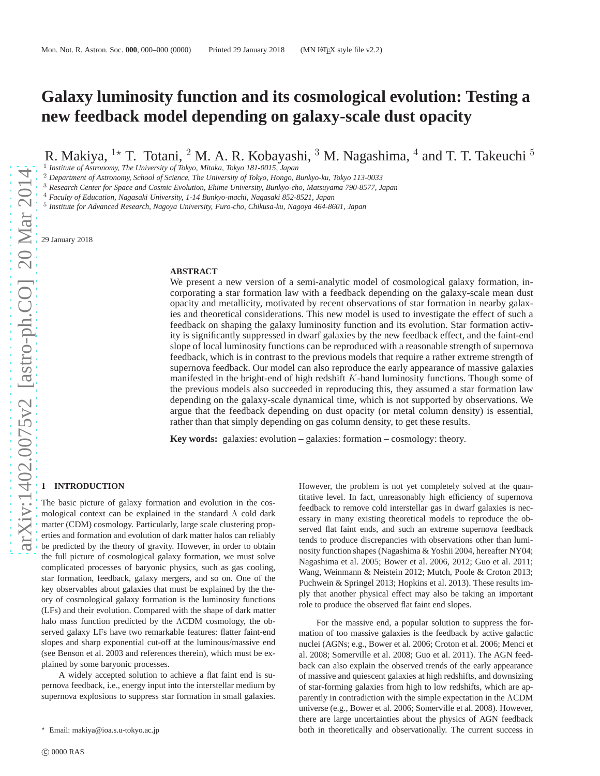# **Galaxy luminosity function and its cosmological evolution: Testing a new feedback model depending on galaxy-scale dust opacity**

R. Makiya,  $1 \star$  T. Totani,  $^2$  M. A. R. Kobayashi,  $^3$  M. Nagashima,  $^4$  and T. T. Takeuchi  $^5$ 

1 *Institute of Astronomy, The University of Tokyo, Mitaka, Tokyo 181-0015, Japan*

<sup>2</sup> *Department of Astronomy, School of Science, The University of Tokyo, Hongo, Bunkyo-ku, Tokyo 113-0033*

<sup>3</sup> *Research Center for Space and Cosmic Evolution, Ehime University, Bunkyo-cho, Matsuyama 790-8577, Japan*

<sup>4</sup> *Faculty of Education, Nagasaki University, 1-14 Bunkyo-machi, Nagasaki 852-8521, Japan*

5 *Institute for Advanced Research, Nagoya University, Furo-cho, Chikusa-ku, Nagoya 464-8601, Japan*

29 January 2018

#### **ABSTRACT**

We present a new version of a semi-analytic model of cosmological galaxy formation, incorporating a star formation law with a feedback depending on the galaxy-scale mean dust opacity and metallicity, motivated by recent observations of star formation in nearby galaxies and theoretical considerations. This new model is used to investigate the effect of such a feedback on shaping the galaxy luminosity function and its evolution. Star formation activity is significantly suppressed in dwarf galaxies by the new feedback effect, and the faint-end slope of local luminosity functions can be reproduced with a reasonable strength of supernova feedback, which is in contrast to the previous models that require a rather extreme strength of supernova feedback. Our model can also reproduce the early appearance of massive galaxies manifested in the bright-end of high redshift  $K$ -band luminosity functions. Though some of the previous models also succeeded in reproducing this, they assumed a star formation law depending on the galaxy-scale dynamical time, which is not supported by observations. We argue that the feedback depending on dust opacity (or metal column density) is essential, rather than that simply depending on gas column density, to get these results.

**Key words:** galaxies: evolution – galaxies: formation – cosmology: theory.

# <span id="page-0-0"></span>**1 INTRODUCTION**

The basic picture of galaxy formation and evolution in the cosmological context can be explained in the standard  $\Lambda$  cold dark matter (CDM) cosmology. Particularly, large scale clustering properties and formation and evolution of dark matter halos can reliably be predicted by the theory of gravity. However, in order to obtain the full picture of cosmological galaxy formation, we must solve complicated processes of baryonic physics, such as gas cooling, star formation, feedback, galaxy mergers, and so on. One of the key observables about galaxies that must be explained by the theory of cosmological galaxy formation is the luminosity functions (LFs) and their evolution. Compared with the shape of dark matter halo mass function predicted by the ΛCDM cosmology, the observed galaxy LFs have two remarkable features: flatter faint-end slopes and sharp exponential cut-off at the luminous/massive end (see Benson et al. 2003 and references therein), which must be explained by some baryonic processes.

A widely accepted solution to achieve a flat faint end is supernova feedback, i.e., energy input into the interstellar medium by supernova explosions to suppress star formation in small galaxies.

feedback to remove cold interstellar gas in dwarf galaxies is necessary in many existing theoretical models to reproduce the observed flat faint ends, and such an extreme supernova feedback tends to produce discrepancies with observations other than luminosity function shapes (Nagashima & Yoshii 2004, hereafter NY04; Nagashima et al. 2005; Bower et al. 2006, 2012; Guo et al. 2011; Wang, Weinmann & Neistein 2012; Mutch, Poole & Croton 2013; Puchwein & Springel 2013; Hopkins et al. 2013). These results imply that another physical effect may also be taking an important role to produce the observed flat faint end slopes.

However, the problem is not yet completely solved at the quantitative level. In fact, unreasonably high efficiency of supernova

For the massive end, a popular solution to suppress the formation of too massive galaxies is the feedback by active galactic nuclei (AGNs; e.g., Bower et al. 2006; Croton et al. 2006; Menci et al. 2008; Somerville et al. 2008; Guo et al. 2011). The AGN feedback can also explain the observed trends of the early appearance of massive and quiescent galaxies at high redshifts, and downsizing of star-forming galaxies from high to low redshifts, which are apparently in contradiction with the simple expectation in the ΛCDM universe (e.g., Bower et al. 2006; Somerville et al. 2008). However, there are large uncertainties about the physics of AGN feedback both in theoretically and observationally. The current success in

<sup>⋆</sup> Email: makiya@ioa.s.u-tokyo.ac.jp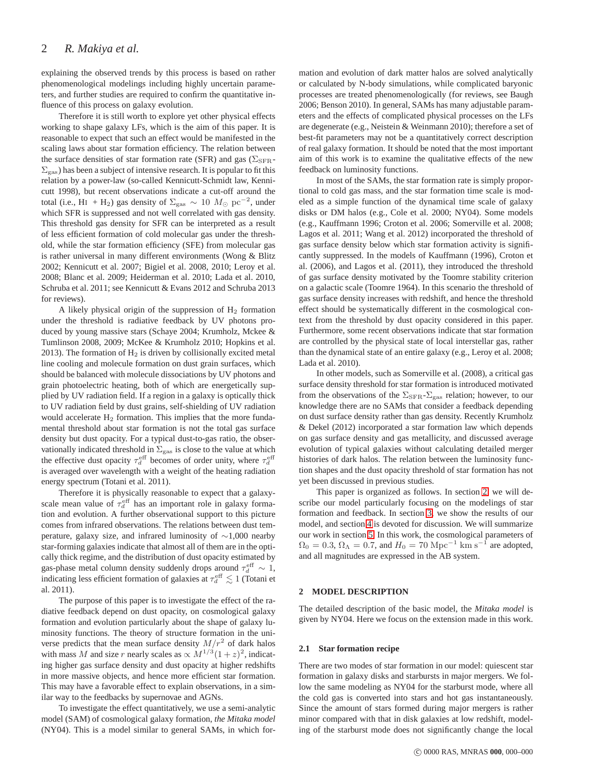explaining the observed trends by this process is based on rather phenomenological modelings including highly uncertain parameters, and further studies are required to confirm the quantitative influence of this process on galaxy evolution.

Therefore it is still worth to explore yet other physical effects working to shape galaxy LFs, which is the aim of this paper. It is reasonable to expect that such an effect would be manifested in the scaling laws about star formation efficiency. The relation between the surface densities of star formation rate (SFR) and gas ( $\Sigma_{\rm SFR}$ - $\Sigma<sub>gas</sub>$ ) has been a subject of intensive research. It is popular to fit this relation by a power-law (so-called Kennicutt-Schmidt law, Kennicutt 1998), but recent observations indicate a cut-off around the total (i.e., HI + H<sub>2</sub>) gas density of  $\Sigma_{\rm gas} \sim 10 M_{\odot} \text{ pc}^{-2}$ , under which SFR is suppressed and not well correlated with gas density. This threshold gas density for SFR can be interpreted as a result of less efficient formation of cold molecular gas under the threshold, while the star formation efficiency (SFE) from molecular gas is rather universal in many different environments (Wong & Blitz 2002; Kennicutt et al. 2007; Bigiel et al. 2008, 2010; Leroy et al. 2008; Blanc et al. 2009; Heiderman et al. 2010; Lada et al. 2010, Schruba et al. 2011; see Kennicutt & Evans 2012 and Schruba 2013 for reviews).

A likely physical origin of the suppression of  $H_2$  formation under the threshold is radiative feedback by UV photons produced by young massive stars (Schaye 2004; Krumholz, Mckee & Tumlinson 2008, 2009; McKee & Krumholz 2010; Hopkins et al. 2013). The formation of  $H_2$  is driven by collisionally excited metal line cooling and molecule formation on dust grain surfaces, which should be balanced with molecule dissociations by UV photons and grain photoelectric heating, both of which are energetically supplied by UV radiation field. If a region in a galaxy is optically thick to UV radiation field by dust grains, self-shielding of UV radiation would accelerate  $H_2$  formation. This implies that the more fundamental threshold about star formation is not the total gas surface density but dust opacity. For a typical dust-to-gas ratio, the observationally indicated threshold in  $\Sigma_{\rm gas}$  is close to the value at which the effective dust opacity  $\tau_d^{\text{eff}}$  becomes of order unity, where  $\tau_d^{\text{eff}}$ is averaged over wavelength with a weight of the heating radiation energy spectrum (Totani et al. 2011).

Therefore it is physically reasonable to expect that a galaxyscale mean value of  $\tau_d^{\text{eff}}$  has an important role in galaxy formation and evolution. A further observational support to this picture comes from infrared observations. The relations between dust temperature, galaxy size, and infrared luminosity of ∼1,000 nearby star-forming galaxies indicate that almost all of them are in the optically thick regime, and the distribution of dust opacity estimated by gas-phase metal column density suddenly drops around  $\tau_d^{\text{eff}} \sim 1$ , indicating less efficient formation of galaxies at  $\tau_d^{\rm eff} \lesssim 1$  (Totani et al. 2011).

The purpose of this paper is to investigate the effect of the radiative feedback depend on dust opacity, on cosmological galaxy formation and evolution particularly about the shape of galaxy luminosity functions. The theory of structure formation in the universe predicts that the mean surface density  $M/r^2$  of dark halos with mass M and size r nearly scales as  $\propto M^{1/3}(1+z)^2$ , indicating higher gas surface density and dust opacity at higher redshifts in more massive objects, and hence more efficient star formation. This may have a favorable effect to explain observations, in a similar way to the feedbacks by supernovae and AGNs.

To investigate the effect quantitatively, we use a semi-analytic model (SAM) of cosmological galaxy formation, *the Mitaka model* (NY04). This is a model similar to general SAMs, in which for-

mation and evolution of dark matter halos are solved analytically or calculated by N-body simulations, while complicated baryonic processes are treated phenomenologically (for reviews, see Baugh 2006; Benson 2010). In general, SAMs has many adjustable parameters and the effects of complicated physical processes on the LFs are degenerate (e.g., Neistein & Weinmann 2010); therefore a set of best-fit parameters may not be a quantitatively correct description of real galaxy formation. It should be noted that the most important aim of this work is to examine the qualitative effects of the new feedback on luminosity functions.

In most of the SAMs, the star formation rate is simply proportional to cold gas mass, and the star formation time scale is modeled as a simple function of the dynamical time scale of galaxy disks or DM halos (e.g., Cole et al. 2000; NY04). Some models (e.g., Kauffmann 1996; Croton et al. 2006; Somerville et al. 2008; Lagos et al. 2011; Wang et al. 2012) incorporated the threshold of gas surface density below which star formation activity is significantly suppressed. In the models of Kauffmann (1996), Croton et al. (2006), and Lagos et al. (2011), they introduced the threshold of gas surface density motivated by the Toomre stability criterion on a galactic scale (Toomre 1964). In this scenario the threshold of gas surface density increases with redshift, and hence the threshold effect should be systematically different in the cosmological context from the threshold by dust opacity considered in this paper. Furthermore, some recent observations indicate that star formation are controlled by the physical state of local interstellar gas, rather than the dynamical state of an entire galaxy (e.g., Leroy et al. 2008; Lada et al. 2010).

In other models, such as Somerville et al. (2008), a critical gas surface density threshold for star formation is introduced motivated from the observations of the  $\Sigma_{\rm SFR}$ - $\Sigma_{\rm gas}$  relation; however, to our knowledge there are no SAMs that consider a feedback depending on dust surface density rather than gas density. Recently Krumholz & Dekel (2012) incorporated a star formation law which depends on gas surface density and gas metallicity, and discussed average evolution of typical galaxies without calculating detailed merger histories of dark halos. The relation between the luminosity function shapes and the dust opacity threshold of star formation has not yet been discussed in previous studies.

This paper is organized as follows. In section [2,](#page-1-0) we will describe our model particularly focusing on the modelings of star formation and feedback. In section [3,](#page-4-0) we show the results of our model, and section [4](#page-6-0) is devoted for discussion. We will summarize our work in section [5.](#page-7-0) In this work, the cosmological parameters of  $\Omega_0 = 0.3$ ,  $\Omega_\Lambda = 0.7$ , and  $H_0 = 70$  Mpc<sup>-1</sup> km s<sup>-1</sup> are adopted, and all magnitudes are expressed in the AB system.

## <span id="page-1-0"></span>**2 MODEL DESCRIPTION**

The detailed description of the basic model, the *Mitaka model* is given by NY04. Here we focus on the extension made in this work.

#### <span id="page-1-1"></span>**2.1 Star formation recipe**

There are two modes of star formation in our model: quiescent star formation in galaxy disks and starbursts in major mergers. We follow the same modeling as NY04 for the starburst mode, where all the cold gas is converted into stars and hot gas instantaneously. Since the amount of stars formed during major mergers is rather minor compared with that in disk galaxies at low redshift, modeling of the starburst mode does not significantly change the local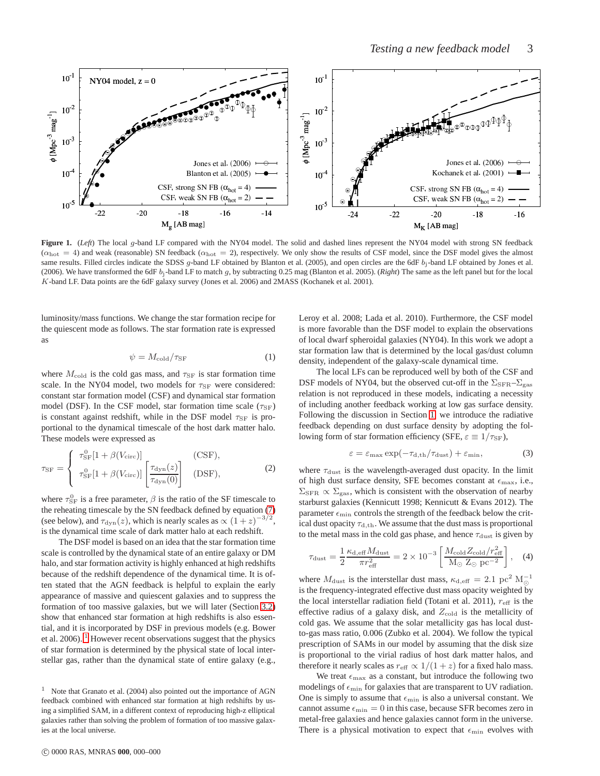

<span id="page-2-1"></span>**Figure 1.** (*Left*) The local g-band LF compared with the NY04 model. The solid and dashed lines represent the NY04 model with strong SN feedback  $(\alpha_{hot} = 4)$  and weak (reasonable) SN feedback ( $\alpha_{hot} = 2$ ), respectively. We only show the results of CSF model, since the DSF model gives the almost same results. Filled circles indicate the SDSS g-band LF obtained by Blanton et al. (2005), and open circles are the 6dF  $b_j$ -band LF obtained by Jones et al. (2006). We have transformed the 6dF bj-band LF to match g, by subtracting 0.25 mag (Blanton et al. 2005). (*Right*) The same as the left panel but for the local K-band LF. Data points are the 6dF galaxy survey (Jones et al. 2006) and 2MASS (Kochanek et al. 2001).

luminosity/mass functions. We change the star formation recipe for the quiescent mode as follows. The star formation rate is expressed as

$$
\psi = M_{\text{cold}} / \tau_{\text{SF}} \tag{1}
$$

where  $M_{\text{cold}}$  is the cold gas mass, and  $\tau_{\text{SF}}$  is star formation time scale. In the NY04 model, two models for  $\tau_{SF}$  were considered: constant star formation model (CSF) and dynamical star formation model (DSF). In the CSF model, star formation time scale ( $\tau_{\rm SF}$ ) is constant against redshift, while in the DSF model  $\tau_{\rm SF}$  is proportional to the dynamical timescale of the host dark matter halo. These models were expressed as

$$
\tau_{\rm SF} = \begin{cases}\n\tau_{\rm SF}^0[1 + \beta(V_{\rm circ})] & \text{(CSF)},\\ \n\tau_{\rm SF}^0[1 + \beta(V_{\rm circ})] \begin{bmatrix} \tau_{\rm dyn}(z) \\ \tau_{\rm dyn}(0) \end{bmatrix} & \text{(DSF)},\n\end{cases}
$$
\n(2)

where  $\tau_{\rm SF}^0$  is a free parameter,  $\beta$  is the ratio of the SF timescale to the reheating timescale by the SN feedback defined by equation [\(7\)](#page-3-0) (see below), and  $\tau_{dyn}(z)$ , which is nearly scales as  $\propto (1+z)^{-3/2}$ , is the dynamical time scale of dark matter halo at each redshift.

The DSF model is based on an idea that the star formation time scale is controlled by the dynamical state of an entire galaxy or DM halo, and star formation activity is highly enhanced at high redshifts because of the redshift dependence of the dynamical time. It is often stated that the AGN feedback is helpful to explain the early appearance of massive and quiescent galaxies and to suppress the formation of too massive galaxies, but we will later (Section [3.2\)](#page-4-1) show that enhanced star formation at high redshifts is also essential, and it is incorporated by DSF in previous models (e.g. Bower et al. 2006).  $\frac{1}{1}$  $\frac{1}{1}$  $\frac{1}{1}$  However recent observations suggest that the physics of star formation is determined by the physical state of local interstellar gas, rather than the dynamical state of entire galaxy (e.g., Leroy et al. 2008; Lada et al. 2010). Furthermore, the CSF model is more favorable than the DSF model to explain the observations of local dwarf spheroidal galaxies (NY04). In this work we adopt a star formation law that is determined by the local gas/dust column density, independent of the galaxy-scale dynamical time.

The local LFs can be reproduced well by both of the CSF and DSF models of NY04, but the observed cut-off in the  $\Sigma_{\rm SFR}-\Sigma_{\rm gas}$ relation is not reproduced in these models, indicating a necessity of including another feedback working at low gas surface density. Following the discussion in Section [1,](#page-0-0) we introduce the radiative feedback depending on dust surface density by adopting the following form of star formation efficiency (SFE,  $\varepsilon \equiv 1/\tau_{\rm SF}$ ),

$$
\varepsilon = \varepsilon_{\text{max}} \exp(-\tau_{\text{d},\text{th}}/\tau_{\text{dust}}) + \varepsilon_{\text{min}},\tag{3}
$$

where  $\tau_{\text{dust}}$  is the wavelength-averaged dust opacity. In the limit of high dust surface density, SFE becomes constant at  $\epsilon_{\text{max}}$ , i.e.,  $\Sigma_{\rm SFR} \propto \Sigma_{\rm gas}$ , which is consistent with the observation of nearby starburst galaxies (Kennicutt 1998; Kennicutt & Evans 2012). The parameter  $\epsilon_{\rm min}$  controls the strength of the feedback below the critical dust opacity  $\tau_\mathrm{d,th}$ . We assume that the dust mass is proportional to the metal mass in the cold gas phase, and hence  $\tau_{\text{dust}}$  is given by

$$
\tau_{\rm dust} = \frac{1}{2} \frac{\kappa_{\rm d,eff} M_{\rm dust}}{\pi r_{\rm eff}^2} = 2 \times 10^{-3} \left[ \frac{M_{\rm cold} Z_{\rm cold} / r_{\rm eff}^2}{\rm M_{\odot} Z_{\odot} pc^{-2}} \right], \quad (4)
$$

where  $M_{\text{dust}}$  is the interstellar dust mass,  $\kappa_{\text{d,eff}} = 2.1 \text{ pc}^2 \text{ M}_{\odot}^{-1}$ is the frequency-integrated effective dust mass opacity weighted by the local interstellar radiation field (Totani et al. 2011),  $r_{\text{eff}}$  is the effective radius of a galaxy disk, and  $Z_{\text{cold}}$  is the metallicity of cold gas. We assume that the solar metallicity gas has local dustto-gas mass ratio, 0.006 (Zubko et al. 2004). We follow the typical prescription of SAMs in our model by assuming that the disk size is proportional to the virial radius of host dark matter halos, and therefore it nearly scales as  $r_{\text{eff}} \propto 1/(1+z)$  for a fixed halo mass.

We treat  $\epsilon_{\text{max}}$  as a constant, but introduce the following two modelings of  $\epsilon_{\min}$  for galaxies that are transparent to UV radiation. One is simply to assume that  $\epsilon_{\min}$  is also a universal constant. We cannot assume  $\epsilon_{\min} = 0$  in this case, because SFR becomes zero in metal-free galaxies and hence galaxies cannot form in the universe. There is a physical motivation to expect that  $\epsilon_{\rm min}$  evolves with

<span id="page-2-0"></span><sup>&</sup>lt;sup>1</sup> Note that Granato et al. (2004) also pointed out the importance of AGN feedback combined with enhanced star formation at high redshifts by using a simplified SAM, in a different context of reproducing high-z elliptical galaxies rather than solving the problem of formation of too massive galaxies at the local universe.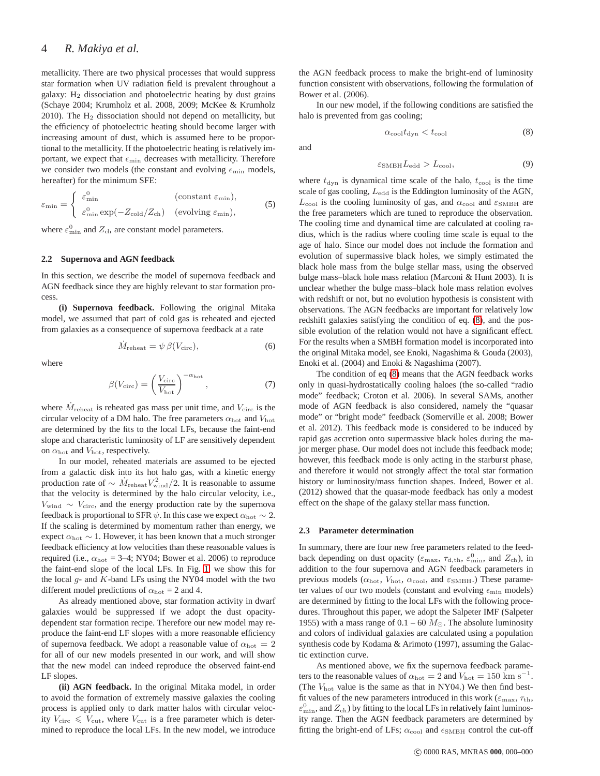# 4 *R. Makiya et al.*

metallicity. There are two physical processes that would suppress star formation when UV radiation field is prevalent throughout a galaxy:  $H<sub>2</sub>$  dissociation and photoelectric heating by dust grains (Schaye 2004; Krumholz et al. 2008, 2009; McKee & Krumholz  $2010$ ). The H<sub>2</sub> dissociation should not depend on metallicity, but the efficiency of photoelectric heating should become larger with increasing amount of dust, which is assumed here to be proportional to the metallicity. If the photoelectric heating is relatively important, we expect that  $\epsilon_{\min}$  decreases with metallicity. Therefore we consider two models (the constant and evolving  $\epsilon_{\min}$  models, hereafter) for the minimum SFE:

$$
\varepsilon_{\min} = \begin{cases}\n\varepsilon_{\min}^0 & \text{(constant } \varepsilon_{\min}), \\
\varepsilon_{\min}^0 \exp(-Z_{\text{cold}}/Z_{\text{ch}}) & \text{(evolving } \varepsilon_{\min}),\n\end{cases}
$$
\n(5)

where  $\varepsilon_{\min}^0$  and  $Z_{ch}$  are constant model parameters.

### <span id="page-3-2"></span>**2.2 Supernova and AGN feedback**

In this section, we describe the model of supernova feedback and AGN feedback since they are highly relevant to star formation process.

**(i) Supernova feedback.** Following the original Mitaka model, we assumed that part of cold gas is reheated and ejected from galaxies as a consequence of supernova feedback at a rate

$$
\dot{M}_{\text{reheat}} = \psi \,\beta (V_{\text{circ}}),\tag{6}
$$

where

<span id="page-3-0"></span>
$$
\beta(V_{\text{circ}}) = \left(\frac{V_{\text{circ}}}{V_{\text{hot}}}\right)^{-\alpha_{\text{hot}}},\tag{7}
$$

where  $\dot{M}_{\text{reheat}}$  is reheated gas mass per unit time, and  $V_{\text{circ}}$  is the circular velocity of a DM halo. The free parameters  $\alpha_{hot}$  and  $V_{hot}$ are determined by the fits to the local LFs, because the faint-end slope and characteristic luminosity of LF are sensitively dependent on  $\alpha$ <sub>hot</sub> and  $V$ <sub>hot</sub>, respectively.

In our model, reheated materials are assumed to be ejected from a galactic disk into its hot halo gas, with a kinetic energy production rate of  $\sim \dot{M}_{\text{reheat}} V_{\text{wind}}^2 / 2$ . It is reasonable to assume that the velocity is determined by the halo circular velocity, i.e.,  $V_{wind} \sim V_{circ}$ , and the energy production rate by the supernova feedback is proportional to SFR  $\psi$ . In this case we expect  $\alpha_{\rm hot} \sim 2$ . If the scaling is determined by momentum rather than energy, we expect  $\alpha_{hot} \sim 1$ . However, it has been known that a much stronger feedback efficiency at low velocities than these reasonable values is required (i.e.,  $\alpha_{hot} = 3-4$ ; NY04; Bower et al. 2006) to reproduce the faint-end slope of the local LFs. In Fig. [1,](#page-2-1) we show this for the local  $g$ - and  $K$ -band LFs using the NY04 model with the two different model predictions of  $\alpha_{hot} = 2$  and 4.

As already mentioned above, star formation activity in dwarf galaxies would be suppressed if we adopt the dust opacitydependent star formation recipe. Therefore our new model may reproduce the faint-end LF slopes with a more reasonable efficiency of supernova feedback. We adopt a reasonable value of  $\alpha_{\text{hot}} = 2$ for all of our new models presented in our work, and will show that the new model can indeed reproduce the observed faint-end LF slopes.

**(ii) AGN feedback.** In the original Mitaka model, in order to avoid the formation of extremely massive galaxies the cooling process is applied only to dark matter halos with circular velocity  $V_{\text{circ}} \leq V_{\text{cut}}$ , where  $V_{\text{cut}}$  is a free parameter which is determined to reproduce the local LFs. In the new model, we introduce

the AGN feedback process to make the bright-end of luminosity function consistent with observations, following the formulation of Bower et al. (2006).

In our new model, if the following conditions are satisfied the halo is prevented from gas cooling;

<span id="page-3-1"></span>
$$
\alpha_{\rm cool} t_{\rm dyn} < t_{\rm cool} \tag{8}
$$

and

$$
\varepsilon_{\text{SMBH}} L_{\text{edd}} > L_{\text{cool}},\tag{9}
$$

where  $t_{\text{dyn}}$  is dynamical time scale of the halo,  $t_{\text{cool}}$  is the time scale of gas cooling,  $L_{\text{edd}}$  is the Eddington luminosity of the AGN,  $L_{\text{cool}}$  is the cooling luminosity of gas, and  $\alpha_{\text{cool}}$  and  $\varepsilon_{\text{SMBH}}$  are the free parameters which are tuned to reproduce the observation. The cooling time and dynamical time are calculated at cooling radius, which is the radius where cooling time scale is equal to the age of halo. Since our model does not include the formation and evolution of supermassive black holes, we simply estimated the black hole mass from the bulge stellar mass, using the observed bulge mass–black hole mass relation (Marconi & Hunt 2003). It is unclear whether the bulge mass–black hole mass relation evolves with redshift or not, but no evolution hypothesis is consistent with observations. The AGN feedbacks are important for relatively low redshift galaxies satisfying the condition of eq. [\(8\)](#page-3-1), and the possible evolution of the relation would not have a significant effect. For the results when a SMBH formation model is incorporated into the original Mitaka model, see Enoki, Nagashima & Gouda (2003), Enoki et al. (2004) and Enoki & Nagashima (2007).

The condition of eq [\(8\)](#page-3-1) means that the AGN feedback works only in quasi-hydrostatically cooling haloes (the so-called "radio mode" feedback; Croton et al. 2006). In several SAMs, another mode of AGN feedback is also considered, namely the "quasar mode" or "bright mode" feedback (Somerville et al. 2008; Bower et al. 2012). This feedback mode is considered to be induced by rapid gas accretion onto supermassive black holes during the major merger phase. Our model does not include this feedback mode; however, this feedback mode is only acting in the starburst phase, and therefore it would not strongly affect the total star formation history or luminosity/mass function shapes. Indeed, Bower et al. (2012) showed that the quasar-mode feedback has only a modest effect on the shape of the galaxy stellar mass function.

#### <span id="page-3-3"></span>**2.3 Parameter determination**

In summary, there are four new free parameters related to the feedback depending on dust opacity ( $\varepsilon_{\text{max}}$ ,  $\tau_{\text{d,th}}$ ,  $\varepsilon_{\text{min}}^0$ , and  $Z_{\text{ch}}$ ), in addition to the four supernova and AGN feedback parameters in previous models ( $\alpha_{hot}$ ,  $V_{hot}$ ,  $\alpha_{cool}$ , and  $\varepsilon_{SMBH}$ .) These parameter values of our two models (constant and evolving  $\epsilon_{\text{min}}$  models) are determined by fitting to the local LFs with the following procedures. Throughout this paper, we adopt the Salpeter IMF (Salpeter 1955) with a mass range of  $0.1 - 60$   $M_{\odot}$ . The absolute luminosity and colors of individual galaxies are calculated using a population synthesis code by Kodama & Arimoto (1997), assuming the Galactic extinction curve.

As mentioned above, we fix the supernova feedback parameters to the reasonable values of  $\alpha_{hot} = 2$  and  $V_{hot} = 150 \text{ km s}^{-1}$ . (The  $V_{\text{hot}}$  value is the same as that in NY04.) We then find bestfit values of the new parameters introduced in this work ( $\varepsilon_{\text{max}}$ ,  $\tau_{\text{th}}$ ,  $\varepsilon_{\rm min}^0$ , and  $Z_{\rm ch}$ ) by fitting to the local LFs in relatively faint luminosity range. Then the AGN feedback parameters are determined by fitting the bright-end of LFs;  $\alpha_{\rm cool}$  and  $\epsilon_{\rm SMBH}$  control the cut-off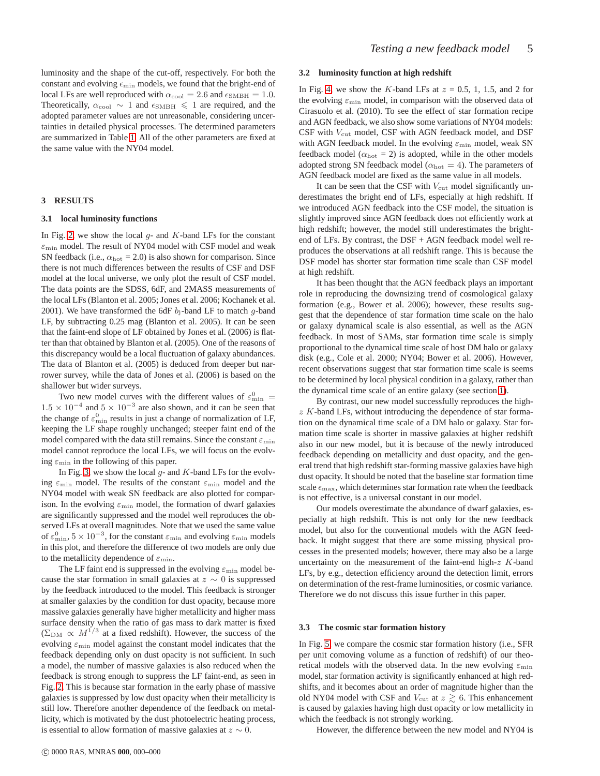luminosity and the shape of the cut-off, respectively. For both the constant and evolving  $\epsilon_{\text{min}}$  models, we found that the bright-end of local LFs are well reproduced with  $\alpha_{\rm cool} = 2.6$  and  $\epsilon_{\rm SMBH} = 1.0$ . Theoretically,  $\alpha_{\rm cool} \sim 1$  and  $\epsilon_{\rm SMBH} \le 1$  are required, and the adopted parameter values are not unreasonable, considering uncertainties in detailed physical processes. The determined parameters are summarized in Table [1.](#page-5-0) All of the other parameters are fixed at the same value with the NY04 model.

#### <span id="page-4-0"></span>**3 RESULTS**

#### **3.1 local luminosity functions**

In Fig. [2,](#page-5-1) we show the local  $q$ - and K-band LFs for the constant  $\varepsilon$ <sub>min</sub> model. The result of NY04 model with CSF model and weak SN feedback (i.e.,  $\alpha_{hot} = 2.0$ ) is also shown for comparison. Since there is not much differences between the results of CSF and DSF model at the local universe, we only plot the result of CSF model. The data points are the SDSS, 6dF, and 2MASS measurements of the local LFs (Blanton et al. 2005; Jones et al. 2006; Kochanek et al. 2001). We have transformed the 6dF  $b_j$ -band LF to match g-band LF, by subtracting 0.25 mag (Blanton et al. 2005). It can be seen that the faint-end slope of LF obtained by Jones et al. (2006) is flatter than that obtained by Blanton et al. (2005). One of the reasons of this discrepancy would be a local fluctuation of galaxy abundances. The data of Blanton et al. (2005) is deduced from deeper but narrower survey, while the data of Jones et al. (2006) is based on the shallower but wider surveys.

Two new model curves with the different values of  $\varepsilon_{\min}^0$  =  $1.5 \times 10^{-4}$  and  $5 \times 10^{-3}$  are also shown, and it can be seen that the change of  $\varepsilon_{\min}^0$  results in just a change of normalization of LF, keeping the LF shape roughly unchanged; steeper faint end of the model compared with the data still remains. Since the constant  $\varepsilon_{\min}$ model cannot reproduce the local LFs, we will focus on the evolving  $\varepsilon_{\min}$  in the following of this paper.

In Fig. [3,](#page-5-2) we show the local  $g$ - and  $K$ -band LFs for the evolving  $\varepsilon_{\rm min}$  model. The results of the constant  $\varepsilon_{\rm min}$  model and the NY04 model with weak SN feedback are also plotted for comparison. In the evolving  $\varepsilon_{\rm min}$  model, the formation of dwarf galaxies are significantly suppressed and the model well reproduces the observed LFs at overall magnitudes. Note that we used the same value of  $\varepsilon_{\min}^0$ ,  $5 \times 10^{-3}$ , for the constant  $\varepsilon_{\min}$  and evolving  $\varepsilon_{\min}$  models in this plot, and therefore the difference of two models are only due to the metallicity dependence of  $\varepsilon_{\min}$ .

The LF faint end is suppressed in the evolving  $\varepsilon_{\min}$  model because the star formation in small galaxies at  $z \sim 0$  is suppressed by the feedback introduced to the model. This feedback is stronger at smaller galaxies by the condition for dust opacity, because more massive galaxies generally have higher metallicity and higher mass surface density when the ratio of gas mass to dark matter is fixed  $(\Sigma_{\text{DM}} \propto M^{1/3}$  at a fixed redshift). However, the success of the evolving  $\varepsilon_{\min}$  model against the constant model indicates that the feedback depending only on dust opacity is not sufficient. In such a model, the number of massive galaxies is also reduced when the feedback is strong enough to suppress the LF faint-end, as seen in Fig. [2.](#page-5-1) This is because star formation in the early phase of massive galaxies is suppressed by low dust opacity when their metallicity is still low. Therefore another dependence of the feedback on metallicity, which is motivated by the dust photoelectric heating process, is essential to allow formation of massive galaxies at  $z \sim 0$ .

#### <span id="page-4-1"></span>**3.2 luminosity function at high redshift**

In Fig. [4,](#page-6-1) we show the K-band LFs at  $z = 0.5, 1, 1.5,$  and 2 for the evolving  $\varepsilon_{\min}$  model, in comparison with the observed data of Cirasuolo et al. (2010). To see the effect of star formation recipe and AGN feedback, we also show some variations of NY04 models: CSF with Vcut model, CSF with AGN feedback model, and DSF with AGN feedback model. In the evolving  $\varepsilon_{\min}$  model, weak SN feedback model ( $\alpha_{hot} = 2$ ) is adopted, while in the other models adopted strong SN feedback model ( $\alpha_{hot} = 4$ ). The parameters of AGN feedback model are fixed as the same value in all models.

It can be seen that the CSF with  $V_{\text{cut}}$  model significantly underestimates the bright end of LFs, especially at high redshift. If we introduced AGN feedback into the CSF model, the situation is slightly improved since AGN feedback does not efficiently work at high redshift; however, the model still underestimates the brightend of LFs. By contrast, the DSF + AGN feedback model well reproduces the observations at all redshift range. This is because the DSF model has shorter star formation time scale than CSF model at high redshift.

It has been thought that the AGN feedback plays an important role in reproducing the downsizing trend of cosmological galaxy formation (e.g., Bower et al. 2006); however, these results suggest that the dependence of star formation time scale on the halo or galaxy dynamical scale is also essential, as well as the AGN feedback. In most of SAMs, star formation time scale is simply proportional to the dynamical time scale of host DM halo or galaxy disk (e.g., Cole et al. 2000; NY04; Bower et al. 2006). However, recent observations suggest that star formation time scale is seems to be determined by local physical condition in a galaxy, rather than the dynamical time scale of an entire galaxy (see section [1\)](#page-0-0).

By contrast, our new model successfully reproduces the high $z$  K-band LFs, without introducing the dependence of star formation on the dynamical time scale of a DM halo or galaxy. Star formation time scale is shorter in massive galaxies at higher redshift also in our new model, but it is because of the newly introduced feedback depending on metallicity and dust opacity, and the general trend that high redshift star-forming massive galaxies have high dust opacity. It should be noted that the baseline star formation time scale  $\epsilon_{\text{max}}$ , which determines star formation rate when the feedback is not effective, is a universal constant in our model.

Our models overestimate the abundance of dwarf galaxies, especially at high redshift. This is not only for the new feedback model, but also for the conventional models with the AGN feedback. It might suggest that there are some missing physical processes in the presented models; however, there may also be a large uncertainty on the measurement of the faint-end high- $z$  K-band LFs, by e.g., detection efficiency around the detection limit, errors on determination of the rest-frame luminosities, or cosmic variance. Therefore we do not discuss this issue further in this paper.

#### **3.3 The cosmic star formation history**

In Fig. [5,](#page-7-1) we compare the cosmic star formation history (i.e., SFR per unit comoving volume as a function of redshift) of our theoretical models with the observed data. In the new evolving  $\varepsilon_{\min}$ model, star formation activity is significantly enhanced at high redshifts, and it becomes about an order of magnitude higher than the old NY04 model with CSF and  $V_{\text{cut}}$  at  $z \gtrsim 6$ . This enhancement is caused by galaxies having high dust opacity or low metallicity in which the feedback is not strongly working.

However, the difference between the new model and NY04 is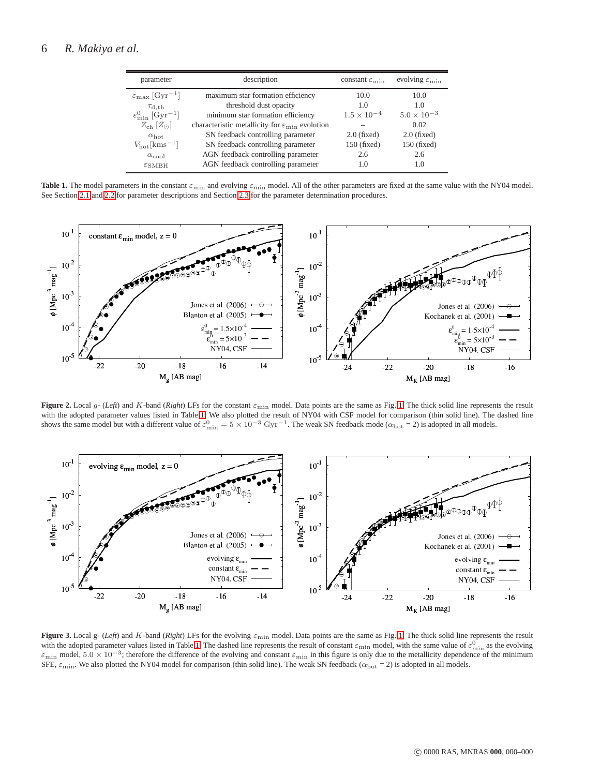| parameter                                                                                                                                        | description                                                                                                                                                       | constant $\varepsilon_{\min}$                | evolving $\varepsilon_{\min}$                |
|--------------------------------------------------------------------------------------------------------------------------------------------------|-------------------------------------------------------------------------------------------------------------------------------------------------------------------|----------------------------------------------|----------------------------------------------|
| $\varepsilon_{\text{max}} [\text{Gyr}^{-1}]$<br>$\tau_{\rm d,th}$<br>$\varepsilon_{\min}^{0}$ [Gyr <sup>-1</sup> ]<br>$Z_{\rm ch}$ $[Z_{\odot}]$ | maximum star formation efficiency<br>threshold dust opacity<br>minimum star formation efficiency<br>characteristic metallicity for $\varepsilon_{\min}$ evolution | 10.0<br>1.0<br>$1.5 \times 10^{-4}$          | 10.0<br>1.0<br>$5.0 \times 10^{-3}$<br>0.02  |
| $\alpha_{\rm hot}$<br>$V_{\rm hot}$ [kms <sup>-1</sup> ]<br>$\alpha_{\rm cool}$<br>$\epsilon$ SMBH                                               | SN feedback controlling parameter<br>SN feedback controlling parameter<br>AGN feedback controlling parameter<br>AGN feedback controlling parameter                | $2.0$ (fixed)<br>$150$ (fixed)<br>2.6<br>1.0 | $2.0$ (fixed)<br>$150$ (fixed)<br>2.6<br>1.0 |

<span id="page-5-0"></span>**Table 1.** The model parameters in the constant  $\varepsilon_{\min}$  and evolving  $\varepsilon_{\min}$  model. All of the other parameters are fixed at the same value with the NY04 model. See Section [2.1](#page-1-1) and [2.2](#page-3-2) for parameter descriptions and Section [2.3](#page-3-3) for the parameter determination procedures.



<span id="page-5-1"></span>**Figure 2.** Local g- (*Left*) and K-band (*Right*) LFs for the constant εmin model. Data points are the same as Fig. [1.](#page-2-1) The thick solid line represents the result with the adopted parameter values listed in Table [1.](#page-5-0) We also plotted the result of NY04 with CSF model for comparison (thin solid line). The dashed line shows the same model but with a different value of  $\varepsilon_{\text{min}}^0 = 5 \times 10^{-3} \text{ Gyr}^{-1}$ . The weak SN feedback mode ( $\alpha_{\text{hot}} = 2$ ) is adopted in all models.



<span id="page-5-2"></span>**Figure 3.** Local g- (*Left*) and K-band (*Right*) LFs for the evolving  $\varepsilon_{\min}$  model. Data points are the same as Fig. [1.](#page-2-1) The thick solid line represents the result with the adopted parameter values listed in Table [1.](#page-5-0) The dashed line represents the result of constant  $\varepsilon_{\rm min}$  model, with the same value of  $\varepsilon_{\rm min}^0$  as the evolving  $\varepsilon_{\rm min}$  model,  $5.0 \times 10^{-3}$ ; therefore the difference of the evolving and constant  $\varepsilon_{\rm min}$  in this figure is only due to the metallicity dependence of the minimum SFE,  $\varepsilon_{\min}$ . We also plotted the NY04 model for comparison (thin solid line). The weak SN feedback ( $\alpha_{\text{hot}} = 2$ ) is adopted in all models.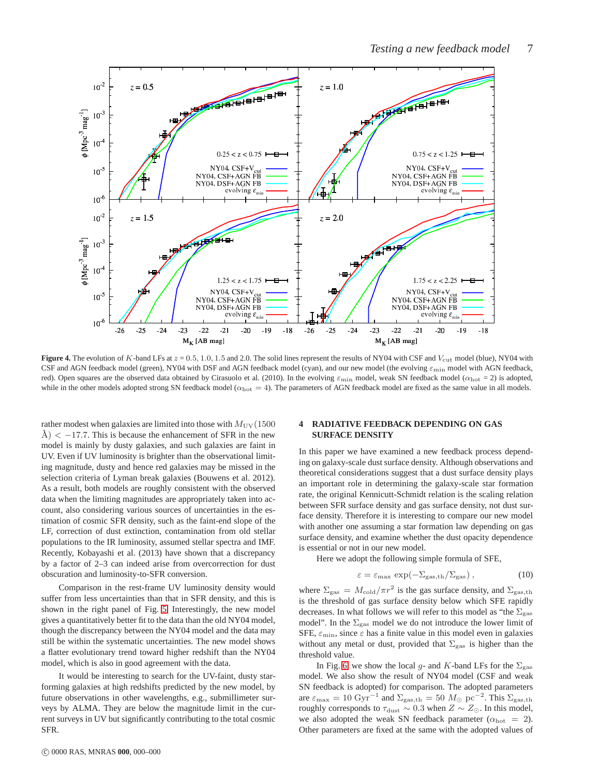

<span id="page-6-1"></span>**Figure 4.** The evolution of K-band LFs at  $z = 0.5, 1.0, 1.5$  and 2.0. The solid lines represent the results of NY04 with CSF and  $V_{\text{cut}}$  model (blue), NY04 with CSF and AGN feedback model (green), NY04 with DSF and AGN feedback model (cyan), and our new model (the evolving  $\varepsilon_{\rm min}$  model with AGN feedback, red). Open squares are the observed data obtained by Cirasuolo et al. (2010). In the evolving  $\varepsilon_{\text{min}}$  model, weak SN feedback model ( $\alpha_{\text{hot}} = 2$ ) is adopted, while in the other models adopted strong SN feedback model ( $\alpha_{hot} = 4$ ). The parameters of AGN feedback model are fixed as the same value in all models.

rather modest when galaxies are limited into those with  $M_{\rm UV}(1500)$  $A$ ) < -17.7. This is because the enhancement of SFR in the new model is mainly by dusty galaxies, and such galaxies are faint in UV. Even if UV luminosity is brighter than the observational limiting magnitude, dusty and hence red galaxies may be missed in the selection criteria of Lyman break galaxies (Bouwens et al. 2012). As a result, both models are roughly consistent with the observed data when the limiting magnitudes are appropriately taken into account, also considering various sources of uncertainties in the estimation of cosmic SFR density, such as the faint-end slope of the LF, correction of dust extinction, contamination from old stellar populations to the IR luminosity, assumed stellar spectra and IMF. Recently, Kobayashi et al. (2013) have shown that a discrepancy by a factor of 2–3 can indeed arise from overcorrection for dust obscuration and luminosity-to-SFR conversion.

Comparison in the rest-frame UV luminosity density would suffer from less uncertainties than that in SFR density, and this is shown in the right panel of Fig. [5.](#page-7-1) Interestingly, the new model gives a quantitatively better fit to the data than the old NY04 model, though the discrepancy between the NY04 model and the data may still be within the systematic uncertainties. The new model shows a flatter evolutionary trend toward higher redshift than the NY04 model, which is also in good agreement with the data.

It would be interesting to search for the UV-faint, dusty starforming galaxies at high redshifts predicted by the new model, by future observations in other wavelengths, e.g., submillimeter surveys by ALMA. They are below the magnitude limit in the current surveys in UV but significantly contributing to the total cosmic SFR.

# <span id="page-6-0"></span>**4 RADIATIVE FEEDBACK DEPENDING ON GAS SURFACE DENSITY**

In this paper we have examined a new feedback process depending on galaxy-scale dust surface density. Although observations and theoretical considerations suggest that a dust surface density plays an important role in determining the galaxy-scale star formation rate, the original Kennicutt-Schmidt relation is the scaling relation between SFR surface density and gas surface density, not dust surface density. Therefore it is interesting to compare our new model with another one assuming a star formation law depending on gas surface density, and examine whether the dust opacity dependence is essential or not in our new model.

Here we adopt the following simple formula of SFE,

$$
\varepsilon = \varepsilon_{\text{max}} \, \exp(-\Sigma_{\text{gas},\text{th}}/\Sigma_{\text{gas}}) \,, \tag{10}
$$

where  $\Sigma_{\rm gas} = M_{\rm cold}/\pi r^2$  is the gas surface density, and  $\Sigma_{\rm gas,th}$ is the threshold of gas surface density below which SFE rapidly decreases. In what follows we will refer to this model as "the  $\Sigma_{\rm gas}$ model". In the  $\Sigma_{\rm gas}$  model we do not introduce the lower limit of SFE,  $\varepsilon$ <sub>min</sub>, since  $\varepsilon$  has a finite value in this model even in galaxies without any metal or dust, provided that  $\Sigma_{\rm gas}$  is higher than the threshold value.

In Fig. [6,](#page-9-0) we show the local g- and K-band LFs for the  $\Sigma_{\rm gas}$ model. We also show the result of NY04 model (CSF and weak SN feedback is adopted) for comparison. The adopted parameters are  $\varepsilon_{\text{max}} = 10 \text{ Gyr}^{-1}$  and  $\Sigma_{\text{gas,th}} = 50 M_{\odot} \text{ pc}^{-2}$ . This  $\Sigma_{\text{gas,th}}$ roughly corresponds to  $\tau_{\text{dust}} \sim 0.3$  when  $Z \sim Z_{\odot}$ . In this model, we also adopted the weak SN feedback parameter ( $\alpha_{hot} = 2$ ). Other parameters are fixed at the same with the adopted values of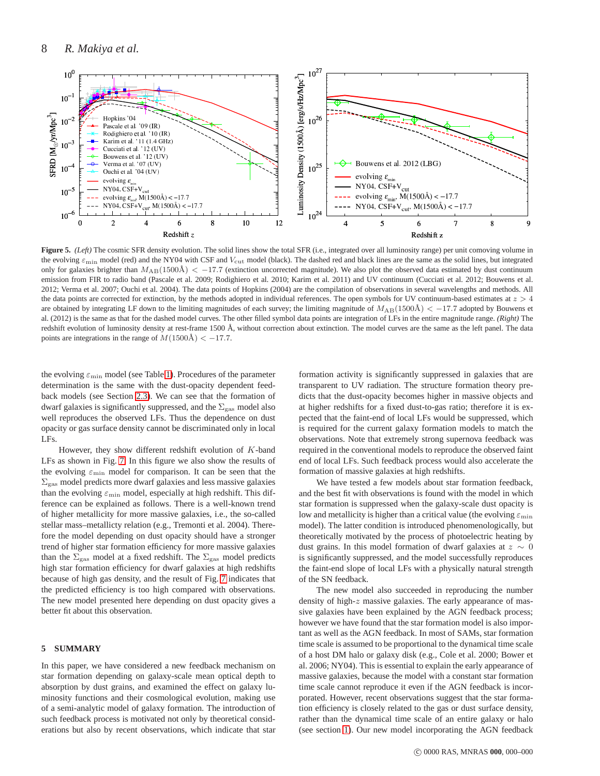

<span id="page-7-1"></span>**Figure 5.** *(Left)* The cosmic SFR density evolution. The solid lines show the total SFR (i.e., integrated over all luminosity range) per unit comoving volume in the evolving  $\varepsilon_{\text{min}}$  model (red) and the NY04 with CSF and  $V_{\text{cut}}$  model (black). The dashed red and black lines are the same as the solid lines, but integrated only for galaxies brighter than  $M_{AB}(1500\text{\AA}) < -17.7$  (extinction uncorrected magnitude). We also plot the observed data estimated by dust continuum emission from FIR to radio band (Pascale et al. 2009; Rodighiero et al. 2010; Karim et al. 2011) and UV continuum (Cucciati et al. 2012; Bouwens et al. 2012; Verma et al. 2007; Ouchi et al. 2004). The data points of Hopkins (2004) are the compilation of observations in several wavelengths and methods. All the data points are corrected for extinction, by the methods adopted in individual references. The open symbols for UV continuum-based estimates at  $z > 4$ are obtained by integrating LF down to the limiting magnitudes of each survey; the limiting magnitude of  $M_{AB}(1500\text{\AA}) < -17.7$  adopted by Bouwens et al. (2012) is the same as that for the dashed model curves. The other filled symbol data points are integration of LFs in the entire magnitude range. *(Right)* The redshift evolution of luminosity density at rest-frame 1500 Å, without correction about extinction. The model curves are the same as the left panel. The data points are integrations in the range of  $M(1500\text{\AA}) < -17.7$ .

the evolving  $\varepsilon_{\min}$  model (see Table [1\)](#page-5-0). Procedures of the parameter determination is the same with the dust-opacity dependent feedback models (see Section [2.3\)](#page-3-3). We can see that the formation of dwarf galaxies is significantly suppressed, and the  $\Sigma_{\rm gas}$  model also well reproduces the observed LFs. Thus the dependence on dust opacity or gas surface density cannot be discriminated only in local LFs.

However, they show different redshift evolution of  $K$ -band LFs as shown in Fig. [7.](#page-9-1) In this figure we also show the results of the evolving  $\varepsilon_{\rm min}$  model for comparison. It can be seen that the  $\Sigma<sub>gas</sub>$  model predicts more dwarf galaxies and less massive galaxies than the evolving  $\varepsilon_{\min}$  model, especially at high redshift. This difference can be explained as follows. There is a well-known trend of higher metallicity for more massive galaxies, i.e., the so-called stellar mass–metallicty relation (e.g., Tremonti et al. 2004). Therefore the model depending on dust opacity should have a stronger trend of higher star formation efficiency for more massive galaxies than the  $\Sigma_{\rm gas}$  model at a fixed redshift. The  $\Sigma_{\rm gas}$  model predicts high star formation efficiency for dwarf galaxies at high redshifts because of high gas density, and the result of Fig. [7](#page-9-1) indicates that the predicted efficiency is too high compared with observations. The new model presented here depending on dust opacity gives a better fit about this observation.

#### <span id="page-7-0"></span>**5 SUMMARY**

In this paper, we have considered a new feedback mechanism on star formation depending on galaxy-scale mean optical depth to absorption by dust grains, and examined the effect on galaxy luminosity functions and their cosmological evolution, making use of a semi-analytic model of galaxy formation. The introduction of such feedback process is motivated not only by theoretical considerations but also by recent observations, which indicate that star formation activity is significantly suppressed in galaxies that are transparent to UV radiation. The structure formation theory predicts that the dust-opacity becomes higher in massive objects and at higher redshifts for a fixed dust-to-gas ratio; therefore it is expected that the faint-end of local LFs would be suppressed, which is required for the current galaxy formation models to match the observations. Note that extremely strong supernova feedback was required in the conventional models to reproduce the observed faint end of local LFs. Such feedback process would also accelerate the formation of massive galaxies at high redshifts.

We have tested a few models about star formation feedback, and the best fit with observations is found with the model in which star formation is suppressed when the galaxy-scale dust opacity is low and metallicity is higher than a critical value (the evolving  $\varepsilon_{\min}$ ) model). The latter condition is introduced phenomenologically, but theoretically motivated by the process of photoelectric heating by dust grains. In this model formation of dwarf galaxies at  $z \sim 0$ is significantly suppressed, and the model successfully reproduces the faint-end slope of local LFs with a physically natural strength of the SN feedback.

The new model also succeeded in reproducing the number density of high-z massive galaxies. The early appearance of massive galaxies have been explained by the AGN feedback process; however we have found that the star formation model is also important as well as the AGN feedback. In most of SAMs, star formation time scale is assumed to be proportional to the dynamical time scale of a host DM halo or galaxy disk (e.g., Cole et al. 2000; Bower et al. 2006; NY04). This is essential to explain the early appearance of massive galaxies, because the model with a constant star formation time scale cannot reproduce it even if the AGN feedback is incorporated. However, recent observations suggest that the star formation efficiency is closely related to the gas or dust surface density, rather than the dynamical time scale of an entire galaxy or halo (see section [1\)](#page-0-0). Our new model incorporating the AGN feedback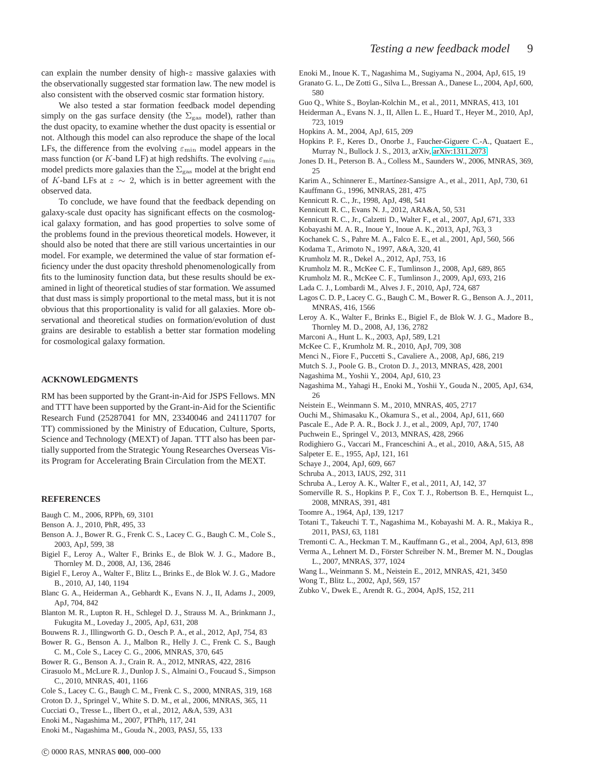can explain the number density of high- $z$  massive galaxies with the observationally suggested star formation law. The new model is also consistent with the observed cosmic star formation history.

We also tested a star formation feedback model depending simply on the gas surface density (the  $\Sigma_{\rm gas}$  model), rather than the dust opacity, to examine whether the dust opacity is essential or not. Although this model can also reproduce the shape of the local LFs, the difference from the evolving  $\varepsilon_{\min}$  model appears in the mass function (or K-band LF) at high redshifts. The evolving  $\varepsilon_{\min}$ model predicts more galaxies than the  $\Sigma_{\rm gas}$  model at the bright end of K-band LFs at  $z \sim 2$ , which is in better agreement with the observed data.

To conclude, we have found that the feedback depending on galaxy-scale dust opacity has significant effects on the cosmological galaxy formation, and has good properties to solve some of the problems found in the previous theoretical models. However, it should also be noted that there are still various uncertainties in our model. For example, we determined the value of star formation efficiency under the dust opacity threshold phenomenologically from fits to the luminosity function data, but these results should be examined in light of theoretical studies of star formation. We assumed that dust mass is simply proportional to the metal mass, but it is not obvious that this proportionality is valid for all galaxies. More observational and theoretical studies on formation/evolution of dust grains are desirable to establish a better star formation modeling for cosmological galaxy formation.

#### **ACKNOWLEDGMENTS**

RM has been supported by the Grant-in-Aid for JSPS Fellows. MN and TTT have been supported by the Grant-in-Aid for the Scientific Research Fund (25287041 for MN, 23340046 and 24111707 for TT) commissioned by the Ministry of Education, Culture, Sports, Science and Technology (MEXT) of Japan. TTT also has been partially supported from the Strategic Young Researches Overseas Visits Program for Accelerating Brain Circulation from the MEXT.

#### **REFERENCES**

- Baugh C. M., 2006, RPPh, 69, 3101
- Benson A. J., 2010, PhR, 495, 33
- Benson A. J., Bower R. G., Frenk C. S., Lacey C. G., Baugh C. M., Cole S., 2003, ApJ, 599, 38
- Bigiel F., Leroy A., Walter F., Brinks E., de Blok W. J. G., Madore B., Thornley M. D., 2008, AJ, 136, 2846
- Bigiel F., Leroy A., Walter F., Blitz L., Brinks E., de Blok W. J. G., Madore B., 2010, AJ, 140, 1194
- Blanc G. A., Heiderman A., Gebhardt K., Evans N. J., II, Adams J., 2009, ApJ, 704, 842
- Blanton M. R., Lupton R. H., Schlegel D. J., Strauss M. A., Brinkmann J., Fukugita M., Loveday J., 2005, ApJ, 631, 208
- Bouwens R. J., Illingworth G. D., Oesch P. A., et al., 2012, ApJ, 754, 83
- Bower R. G., Benson A. J., Malbon R., Helly J. C., Frenk C. S., Baugh C. M., Cole S., Lacey C. G., 2006, MNRAS, 370, 645
- Bower R. G., Benson A. J., Crain R. A., 2012, MNRAS, 422, 2816
- Cirasuolo M., McLure R. J., Dunlop J. S., Almaini O., Foucaud S., Simpson C., 2010, MNRAS, 401, 1166
- Cole S., Lacey C. G., Baugh C. M., Frenk C. S., 2000, MNRAS, 319, 168
- Croton D. J., Springel V., White S. D. M., et al., 2006, MNRAS, 365, 11
- Cucciati O., Tresse L., Ilbert O., et al., 2012, A&A, 539, A31
- Enoki M., Nagashima M., 2007, PThPh, 117, 241
- Enoki M., Nagashima M., Gouda N., 2003, PASJ, 55, 133
- Enoki M., Inoue K. T., Nagashima M., Sugiyama N., 2004, ApJ, 615, 19
- Granato G. L., De Zotti G., Silva L., Bressan A., Danese L., 2004, ApJ, 600, 580
- Guo Q., White S., Boylan-Kolchin M., et al., 2011, MNRAS, 413, 101
- Heiderman A., Evans N. J., II, Allen L. E., Huard T., Heyer M., 2010, ApJ, 723, 1019
- Hopkins A. M., 2004, ApJ, 615, 209
- Hopkins P. F., Keres D., Onorbe J., Faucher-Giguere C.-A., Quataert E., Murray N., Bullock J. S., 2013, arXiv, [arXiv:1311.2073](http://arxiv.org/abs/1311.2073)
- Jones D. H., Peterson B. A., Colless M., Saunders W., 2006, MNRAS, 369, 25

Karim A., Schinnerer E., Martínez-Sansigre A., et al., 2011, ApJ, 730, 61

- Kauffmann G., 1996, MNRAS, 281, 475
- Kennicutt R. C., Jr., 1998, ApJ, 498, 541
- Kennicutt R. C., Evans N. J., 2012, ARA&A, 50, 531
- Kennicutt R. C., Jr., Calzetti D., Walter F., et al., 2007, ApJ, 671, 333
- Kobayashi M. A. R., Inoue Y., Inoue A. K., 2013, ApJ, 763, 3
- Kochanek C. S., Pahre M. A., Falco E. E., et al., 2001, ApJ, 560, 566
- Kodama T., Arimoto N., 1997, A&A, 320, 41
- Krumholz M. R., Dekel A., 2012, ApJ, 753, 16
- Krumholz M. R., McKee C. F., Tumlinson J., 2008, ApJ, 689, 865
- Krumholz M. R., McKee C. F., Tumlinson J., 2009, ApJ, 693, 216
- Lada C. J., Lombardi M., Alves J. F., 2010, ApJ, 724, 687
- Lagos C. D. P., Lacey C. G., Baugh C. M., Bower R. G., Benson A. J., 2011, MNRAS, 416, 1566
- Leroy A. K., Walter F., Brinks E., Bigiel F., de Blok W. J. G., Madore B., Thornley M. D., 2008, AJ, 136, 2782
- Marconi A., Hunt L. K., 2003, ApJ, 589, L21
- McKee C. F., Krumholz M. R., 2010, ApJ, 709, 308
- Menci N., Fiore F., Puccetti S., Cavaliere A., 2008, ApJ, 686, 219
- Mutch S. J., Poole G. B., Croton D. J., 2013, MNRAS, 428, 2001
- Nagashima M., Yoshii Y., 2004, ApJ, 610, 23
- Nagashima M., Yahagi H., Enoki M., Yoshii Y., Gouda N., 2005, ApJ, 634, 26
- Neistein E., Weinmann S. M., 2010, MNRAS, 405, 2717
- Ouchi M., Shimasaku K., Okamura S., et al., 2004, ApJ, 611, 660
- Pascale E., Ade P. A. R., Bock J. J., et al., 2009, ApJ, 707, 1740
- Puchwein E., Springel V., 2013, MNRAS, 428, 2966
- Rodighiero G., Vaccari M., Franceschini A., et al., 2010, A&A, 515, A8
- Salpeter E. E., 1955, ApJ, 121, 161
- Schaye J., 2004, ApJ, 609, 667
- Schruba A., 2013, IAUS, 292, 311
- Schruba A., Leroy A. K., Walter F., et al., 2011, AJ, 142, 37
- Somerville R. S., Hopkins P. F., Cox T. J., Robertson B. E., Hernquist L., 2008, MNRAS, 391, 481
- Toomre A., 1964, ApJ, 139, 1217
- Totani T., Takeuchi T. T., Nagashima M., Kobayashi M. A. R., Makiya R., 2011, PASJ, 63, 1181
- Tremonti C. A., Heckman T. M., Kauffmann G., et al., 2004, ApJ, 613, 898
- Verma A., Lehnert M. D., Förster Schreiber N. M., Bremer M. N., Douglas L., 2007, MNRAS, 377, 1024
- Wang L., Weinmann S. M., Neistein E., 2012, MNRAS, 421, 3450
- Wong T., Blitz L., 2002, ApJ, 569, 157
- Zubko V., Dwek E., Arendt R. G., 2004, ApJS, 152, 211